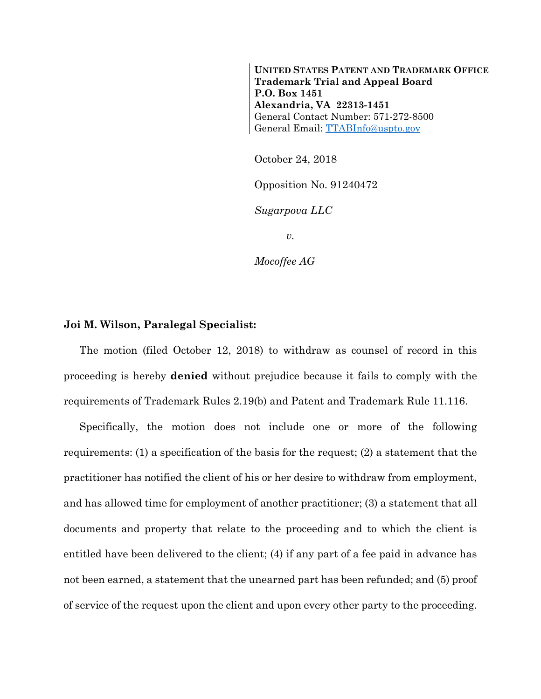**UNITED STATES PATENT AND TRADEMARK OFFICE Trademark Trial and Appeal Board P.O. Box 1451 Alexandria, VA 22313-1451**  General Contact Number: 571-272-8500 General Email: TTABInfo@uspto.gov

October 24, 2018

Opposition No. 91240472

*Sugarpova LLC* 

*v.* 

*Mocoffee AG* 

## **Joi M. Wilson, Paralegal Specialist:**

The motion (filed October 12, 2018) to withdraw as counsel of record in this proceeding is hereby **denied** without prejudice because it fails to comply with the requirements of Trademark Rules 2.19(b) and Patent and Trademark Rule 11.116.

Specifically, the motion does not include one or more of the following requirements: (1) a specification of the basis for the request; (2) a statement that the practitioner has notified the client of his or her desire to withdraw from employment, and has allowed time for employment of another practitioner; (3) a statement that all documents and property that relate to the proceeding and to which the client is entitled have been delivered to the client; (4) if any part of a fee paid in advance has not been earned, a statement that the unearned part has been refunded; and (5) proof of service of the request upon the client and upon every other party to the proceeding.